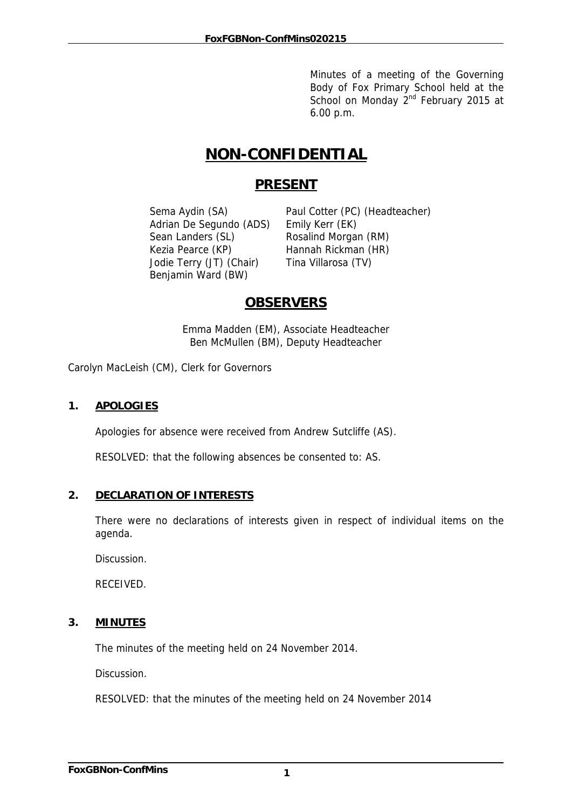Minutes of a meeting of the Governing Body of Fox Primary School held at the School on Monday  $2^{nd}$  February 2015 at 6.00 p.m.

# **NON-CONFIDENTIAL**

# **PRESENT**

 Adrian De Segundo (ADS) Emily Kerr (EK) Sean Landers (SL) Rosalind Morgan (RM) Kezia Pearce (KP) Hannah Rickman (HR) Jodie Terry (JT) (Chair) Tina Villarosa (TV) Benjamin Ward (BW)

Sema Aydin (SA) Paul Cotter (PC) (Headteacher)

# **OBSERVERS**

Emma Madden (EM), Associate Headteacher Ben McMullen (BM), Deputy Headteacher

Carolyn MacLeish (CM), Clerk for Governors

# **1. APOLOGIES**

Apologies for absence were received from Andrew Sutcliffe (AS).

RESOLVED: that the following absences be consented to: AS.

# **2. DECLARATION OF INTERESTS**

There were no declarations of interests given in respect of individual items on the agenda.

Discussion.

RECEIVED.

# **3. MINUTES**

The minutes of the meeting held on 24 November 2014.

Discussion.

RESOLVED: that the minutes of the meeting held on 24 November 2014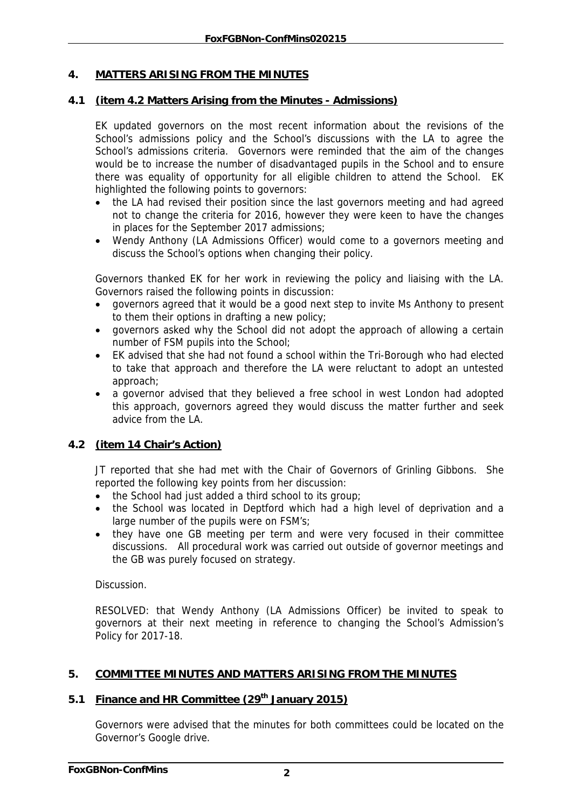# **4. MATTERS ARISING FROM THE MINUTES**

#### **4.1 (item 4.2 Matters Arising from the Minutes - Admissions)**

EK updated governors on the most recent information about the revisions of the School's admissions policy and the School's discussions with the LA to agree the School's admissions criteria. Governors were reminded that the aim of the changes would be to increase the number of disadvantaged pupils in the School and to ensure there was equality of opportunity for all eligible children to attend the School. EK highlighted the following points to governors:

- the LA had revised their position since the last governors meeting and had agreed not to change the criteria for 2016, however they were keen to have the changes in places for the September 2017 admissions;
- Wendy Anthony (LA Admissions Officer) would come to a governors meeting and discuss the School's options when changing their policy.

Governors thanked EK for her work in reviewing the policy and liaising with the LA. Governors raised the following points in discussion:

- governors agreed that it would be a good next step to invite Ms Anthony to present to them their options in drafting a new policy;
- governors asked why the School did not adopt the approach of allowing a certain number of FSM pupils into the School;
- EK advised that she had not found a school within the Tri-Borough who had elected to take that approach and therefore the LA were reluctant to adopt an untested approach;
- a governor advised that they believed a free school in west London had adopted this approach, governors agreed they would discuss the matter further and seek advice from the LA.

# **4.2 (item 14 Chair's Action)**

JT reported that she had met with the Chair of Governors of Grinling Gibbons. She reported the following key points from her discussion:

- the School had just added a third school to its group;
- the School was located in Deptford which had a high level of deprivation and a large number of the pupils were on FSM's;
- they have one GB meeting per term and were very focused in their committee discussions. All procedural work was carried out outside of governor meetings and the GB was purely focused on strategy.

Discussion.

RESOLVED: that Wendy Anthony (LA Admissions Officer) be invited to speak to governors at their next meeting in reference to changing the School's Admission's Policy for 2017-18.

#### **5. COMMITTEE MINUTES AND MATTERS ARISING FROM THE MINUTES**

# **5.1 Finance and HR Committee (29th January 2015)**

Governors were advised that the minutes for both committees could be located on the Governor's Google drive.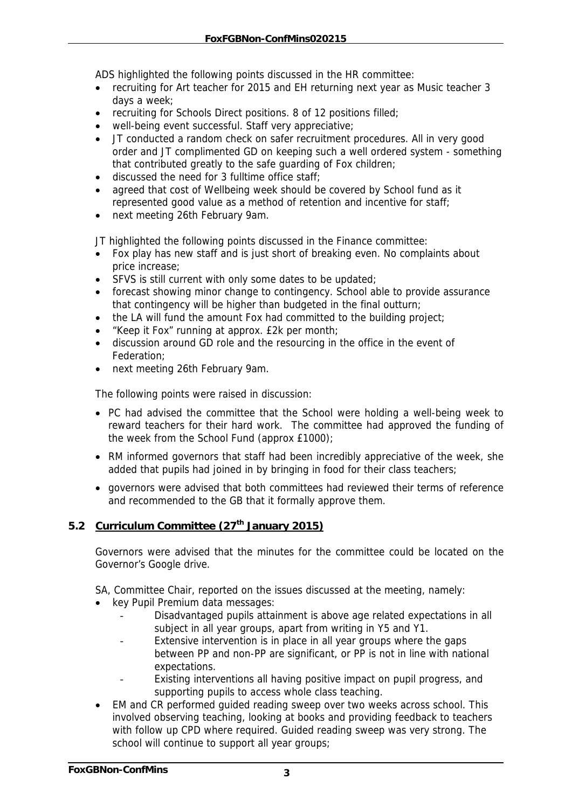ADS highlighted the following points discussed in the HR committee:

- recruiting for Art teacher for 2015 and EH returning next year as Music teacher 3 days a week;
- recruiting for Schools Direct positions. 8 of 12 positions filled:
- well-being event successful. Staff very appreciative;
- JT conducted a random check on safer recruitment procedures. All in very good order and JT complimented GD on keeping such a well ordered system - something that contributed greatly to the safe guarding of Fox children;
- discussed the need for 3 fulltime office staff;
- agreed that cost of Wellbeing week should be covered by School fund as it represented good value as a method of retention and incentive for staff;
- next meeting 26th February 9am.

JT highlighted the following points discussed in the Finance committee:

- Fox play has new staff and is just short of breaking even. No complaints about price increase;
- SFVS is still current with only some dates to be updated;
- forecast showing minor change to contingency. School able to provide assurance that contingency will be higher than budgeted in the final outturn;
- the LA will fund the amount Fox had committed to the building project;
- "Keep it Fox" running at approx. £2k per month;
- discussion around GD role and the resourcing in the office in the event of Federation;
- next meeting 26th February 9am.

The following points were raised in discussion:

- PC had advised the committee that the School were holding a well-being week to reward teachers for their hard work. The committee had approved the funding of the week from the School Fund (approx £1000);
- RM informed governors that staff had been incredibly appreciative of the week, she added that pupils had joined in by bringing in food for their class teachers;
- governors were advised that both committees had reviewed their terms of reference and recommended to the GB that it formally approve them.

# 5.2 Curriculum Committee (27<sup>th</sup> January 2015)

Governors were advised that the minutes for the committee could be located on the Governor's Google drive.

SA, Committee Chair, reported on the issues discussed at the meeting, namely:

- key Pupil Premium data messages:
	- Disadvantaged pupils attainment is above age related expectations in all subject in all year groups, apart from writing in Y5 and Y1.
	- Extensive intervention is in place in all year groups where the gaps between PP and non-PP are significant, or PP is not in line with national expectations.
	- Existing interventions all having positive impact on pupil progress, and supporting pupils to access whole class teaching.
- EM and CR performed guided reading sweep over two weeks across school. This involved observing teaching, looking at books and providing feedback to teachers with follow up CPD where required. Guided reading sweep was very strong. The school will continue to support all year groups;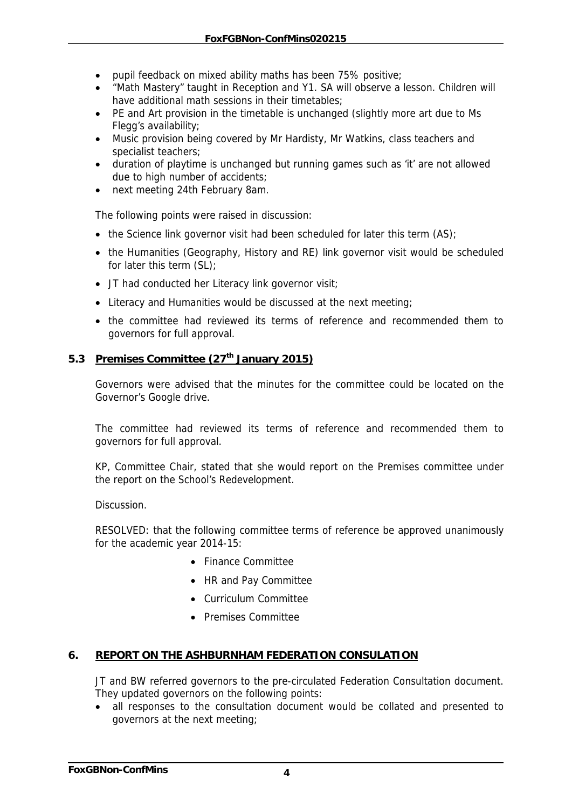- pupil feedback on mixed ability maths has been 75% positive;
- "Math Mastery" taught in Reception and Y1. SA will observe a lesson. Children will have additional math sessions in their timetables;
- PE and Art provision in the timetable is unchanged (slightly more art due to Ms Flegg's availability;
- Music provision being covered by Mr Hardisty, Mr Watkins, class teachers and specialist teachers;
- duration of playtime is unchanged but running games such as 'it' are not allowed due to high number of accidents;
- next meeting 24th February 8am.

The following points were raised in discussion:

- the Science link governor visit had been scheduled for later this term (AS);
- the Humanities (Geography, History and RE) link governor visit would be scheduled for later this term (SL);
- JT had conducted her Literacy link governor visit;
- Literacy and Humanities would be discussed at the next meeting;
- the committee had reviewed its terms of reference and recommended them to governors for full approval.

#### 5.3 Premises Committee (27<sup>th</sup> January 2015)

Governors were advised that the minutes for the committee could be located on the Governor's Google drive.

The committee had reviewed its terms of reference and recommended them to governors for full approval.

KP, Committee Chair, stated that she would report on the Premises committee under the report on the School's Redevelopment.

Discussion.

RESOLVED: that the following committee terms of reference be approved unanimously for the academic year 2014-15:

- Finance Committee
- HR and Pay Committee
- Curriculum Committee
- Premises Committee

#### **6. REPORT ON THE ASHBURNHAM FEDERATION CONSULATION**

JT and BW referred governors to the pre-circulated Federation Consultation document. They updated governors on the following points:

• all responses to the consultation document would be collated and presented to governors at the next meeting;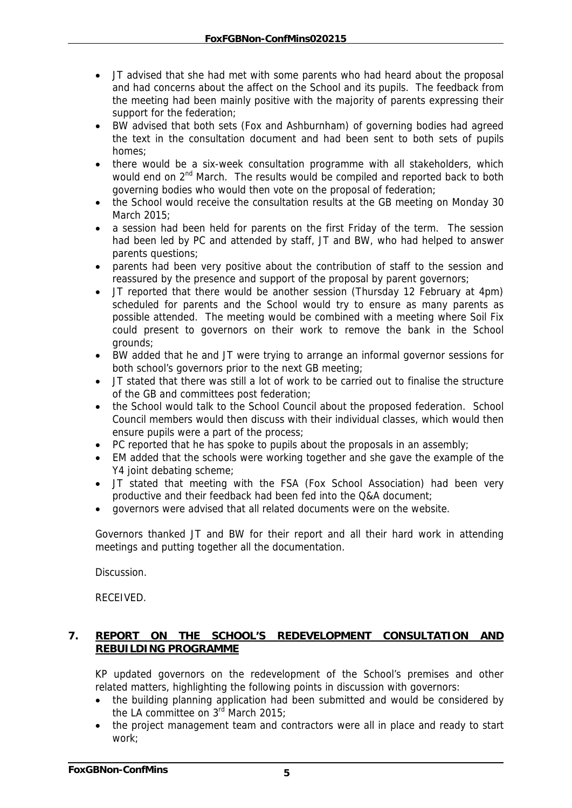- JT advised that she had met with some parents who had heard about the proposal and had concerns about the affect on the School and its pupils. The feedback from the meeting had been mainly positive with the majority of parents expressing their support for the federation;
- BW advised that both sets (Fox and Ashburnham) of governing bodies had agreed the text in the consultation document and had been sent to both sets of pupils homes;
- there would be a six-week consultation programme with all stakeholders, which would end on 2<sup>nd</sup> March. The results would be compiled and reported back to both governing bodies who would then vote on the proposal of federation;
- the School would receive the consultation results at the GB meeting on Monday 30 March 2015;
- a session had been held for parents on the first Friday of the term. The session had been led by PC and attended by staff, JT and BW, who had helped to answer parents questions;
- parents had been very positive about the contribution of staff to the session and reassured by the presence and support of the proposal by parent governors;
- JT reported that there would be another session (Thursday 12 February at 4pm) scheduled for parents and the School would try to ensure as many parents as possible attended. The meeting would be combined with a meeting where Soil Fix could present to governors on their work to remove the bank in the School grounds;
- BW added that he and JT were trying to arrange an informal governor sessions for both school's governors prior to the next GB meeting;
- JT stated that there was still a lot of work to be carried out to finalise the structure of the GB and committees post federation;
- the School would talk to the School Council about the proposed federation. School Council members would then discuss with their individual classes, which would then ensure pupils were a part of the process;
- PC reported that he has spoke to pupils about the proposals in an assembly;
- EM added that the schools were working together and she gave the example of the Y4 joint debating scheme;
- JT stated that meeting with the FSA (Fox School Association) had been very productive and their feedback had been fed into the Q&A document;
- governors were advised that all related documents were on the website.

Governors thanked JT and BW for their report and all their hard work in attending meetings and putting together all the documentation.

Discussion.

RECEIVED.

# **7. REPORT ON THE SCHOOL'S REDEVELOPMENT CONSULTATION AND REBUILDING PROGRAMME**

KP updated governors on the redevelopment of the School's premises and other related matters, highlighting the following points in discussion with governors:

- the building planning application had been submitted and would be considered by the LA committee on  $3^{rd}$  March 2015;
- the project management team and contractors were all in place and ready to start work;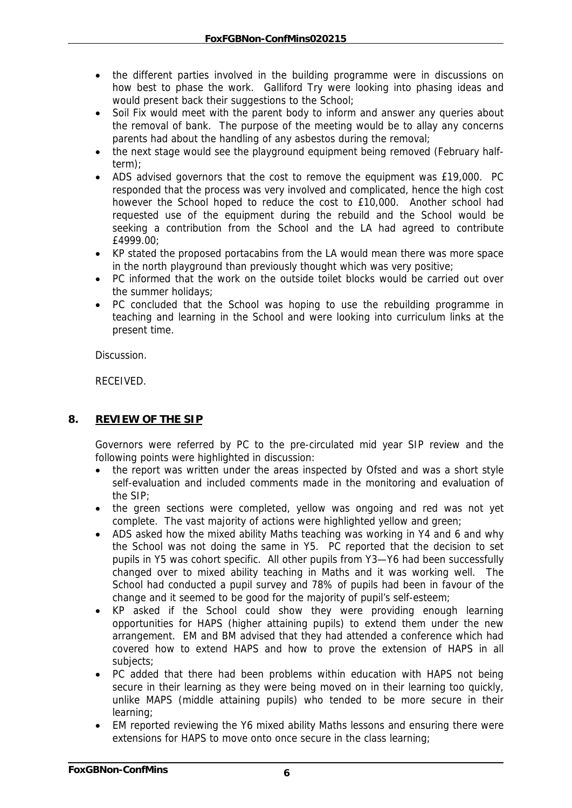- the different parties involved in the building programme were in discussions on how best to phase the work. Galliford Try were looking into phasing ideas and would present back their suggestions to the School;
- Soil Fix would meet with the parent body to inform and answer any queries about the removal of bank. The purpose of the meeting would be to allay any concerns parents had about the handling of any asbestos during the removal;
- the next stage would see the playground equipment being removed (February halfterm);
- ADS advised governors that the cost to remove the equipment was £19,000. PC responded that the process was very involved and complicated, hence the high cost however the School hoped to reduce the cost to £10,000. Another school had requested use of the equipment during the rebuild and the School would be seeking a contribution from the School and the LA had agreed to contribute £4999.00;
- KP stated the proposed portacabins from the LA would mean there was more space in the north playground than previously thought which was very positive;
- PC informed that the work on the outside toilet blocks would be carried out over the summer holidays;
- PC concluded that the School was hoping to use the rebuilding programme in teaching and learning in the School and were looking into curriculum links at the present time.

**Discussion** 

RECEIVED.

# **8. REVIEW OF THE SIP**

Governors were referred by PC to the pre-circulated mid year SIP review and the following points were highlighted in discussion:

- the report was written under the areas inspected by Ofsted and was a short style self-evaluation and included comments made in the monitoring and evaluation of the SIP;
- the green sections were completed, yellow was ongoing and red was not yet complete. The vast majority of actions were highlighted yellow and green;
- ADS asked how the mixed ability Maths teaching was working in Y4 and 6 and why the School was not doing the same in Y5. PC reported that the decision to set pupils in Y5 was cohort specific. All other pupils from Y3—Y6 had been successfully changed over to mixed ability teaching in Maths and it was working well. The School had conducted a pupil survey and 78% of pupils had been in favour of the change and it seemed to be good for the majority of pupil's self-esteem;
- KP asked if the School could show they were providing enough learning opportunities for HAPS (higher attaining pupils) to extend them under the new arrangement. EM and BM advised that they had attended a conference which had covered how to extend HAPS and how to prove the extension of HAPS in all subjects;
- PC added that there had been problems within education with HAPS not being secure in their learning as they were being moved on in their learning too quickly, unlike MAPS (middle attaining pupils) who tended to be more secure in their learning;
- EM reported reviewing the Y6 mixed ability Maths lessons and ensuring there were extensions for HAPS to move onto once secure in the class learning;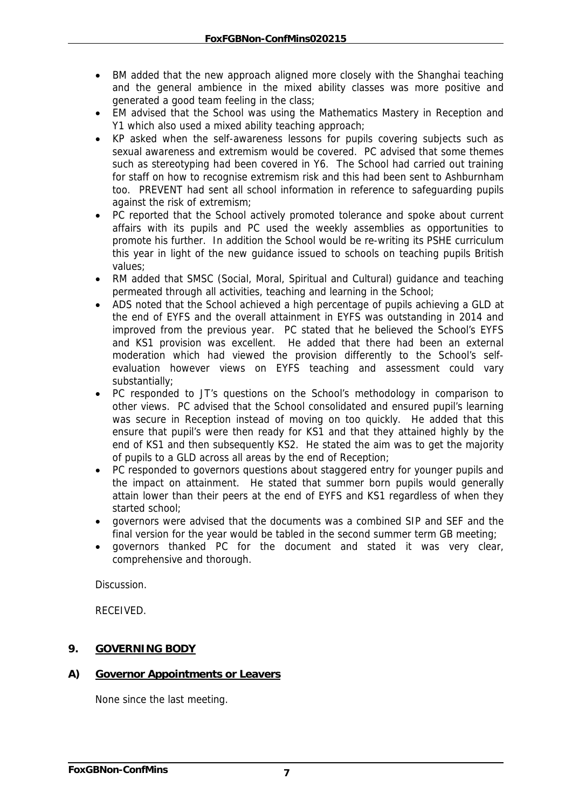- BM added that the new approach aligned more closely with the Shanghai teaching and the general ambience in the mixed ability classes was more positive and generated a good team feeling in the class;
- EM advised that the School was using the Mathematics Mastery in Reception and Y1 which also used a mixed ability teaching approach;
- KP asked when the self-awareness lessons for pupils covering subjects such as sexual awareness and extremism would be covered. PC advised that some themes such as stereotyping had been covered in Y6. The School had carried out training for staff on how to recognise extremism risk and this had been sent to Ashburnham too. PREVENT had sent all school information in reference to safeguarding pupils against the risk of extremism;
- PC reported that the School actively promoted tolerance and spoke about current affairs with its pupils and PC used the weekly assemblies as opportunities to promote his further. In addition the School would be re-writing its PSHE curriculum this year in light of the new guidance issued to schools on teaching pupils British values;
- RM added that SMSC (Social, Moral, Spiritual and Cultural) guidance and teaching permeated through all activities, teaching and learning in the School;
- ADS noted that the School achieved a high percentage of pupils achieving a GLD at the end of EYFS and the overall attainment in EYFS was outstanding in 2014 and improved from the previous year. PC stated that he believed the School's EYFS and KS1 provision was excellent. He added that there had been an external moderation which had viewed the provision differently to the School's selfevaluation however views on EYFS teaching and assessment could vary substantially;
- PC responded to JT's questions on the School's methodology in comparison to other views. PC advised that the School consolidated and ensured pupil's learning was secure in Reception instead of moving on too quickly. He added that this ensure that pupil's were then ready for KS1 and that they attained highly by the end of KS1 and then subsequently KS2. He stated the aim was to get the majority of pupils to a GLD across all areas by the end of Reception;
- PC responded to governors questions about staggered entry for younger pupils and the impact on attainment. He stated that summer born pupils would generally attain lower than their peers at the end of EYFS and KS1 regardless of when they started school;
- governors were advised that the documents was a combined SIP and SEF and the final version for the year would be tabled in the second summer term GB meeting;
- governors thanked PC for the document and stated it was very clear, comprehensive and thorough.

Discussion.

RECEIVED.

# **9. GOVERNING BODY**

# **A) Governor Appointments or Leavers**

None since the last meeting.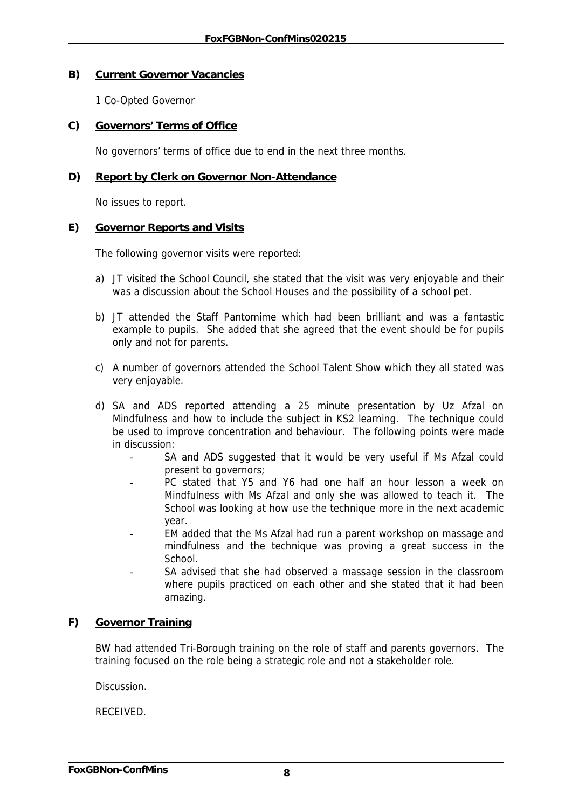#### **B) Current Governor Vacancies**

1 Co-Opted Governor

#### **C) Governors' Terms of Office**

No governors' terms of office due to end in the next three months.

#### **D) Report by Clerk on Governor Non-Attendance**

No issues to report.

#### **E) Governor Reports and Visits**

The following governor visits were reported:

- a) JT visited the School Council, she stated that the visit was very enjoyable and their was a discussion about the School Houses and the possibility of a school pet.
- b) JT attended the Staff Pantomime which had been brilliant and was a fantastic example to pupils. She added that she agreed that the event should be for pupils only and not for parents.
- c) A number of governors attended the School Talent Show which they all stated was very enjoyable.
- d) SA and ADS reported attending a 25 minute presentation by Uz Afzal on Mindfulness and how to include the subject in KS2 learning. The technique could be used to improve concentration and behaviour. The following points were made in discussion:
	- SA and ADS suggested that it would be very useful if Ms Afzal could present to governors;
	- PC stated that Y5 and Y6 had one half an hour lesson a week on Mindfulness with Ms Afzal and only she was allowed to teach it. The School was looking at how use the technique more in the next academic year.
	- EM added that the Ms Afzal had run a parent workshop on massage and mindfulness and the technique was proving a great success in the **School**
	- SA advised that she had observed a massage session in the classroom where pupils practiced on each other and she stated that it had been amazing.

# **F) Governor Training**

BW had attended Tri-Borough training on the role of staff and parents governors. The training focused on the role being a strategic role and not a stakeholder role.

Discussion.

RECEIVED.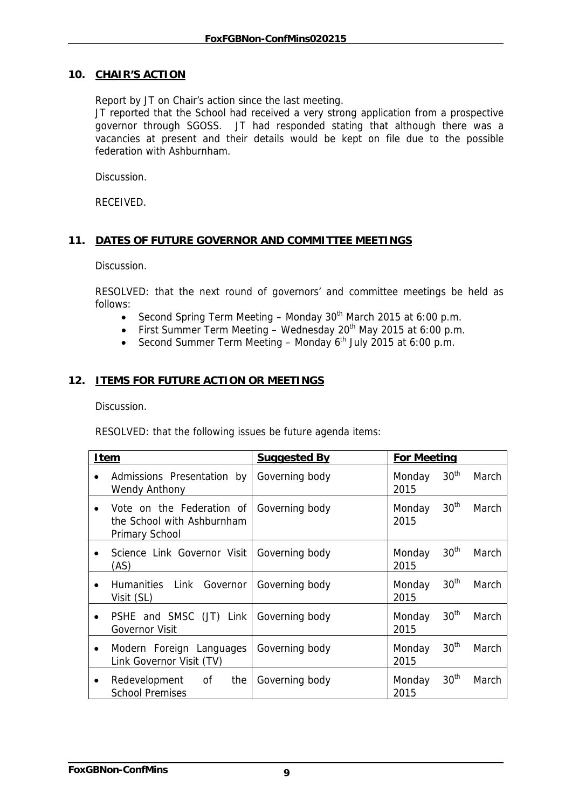#### **10. CHAIR'S ACTION**

Report by JT on Chair's action since the last meeting.

JT reported that the School had received a very strong application from a prospective governor through SGOSS. JT had responded stating that although there was a vacancies at present and their details would be kept on file due to the possible federation with Ashburnham.

Discussion.

RECEIVED.

# **11. DATES OF FUTURE GOVERNOR AND COMMITTEE MEETINGS**

Discussion.

RESOLVED: that the next round of governors' and committee meetings be held as follows:

- Second Spring Term Meeting Monday  $30<sup>th</sup>$  March 2015 at 6:00 p.m.
- First Summer Term Meeting Wednesday 20<sup>th</sup> May 2015 at 6:00 p.m.
- Second Summer Term Meeting Monday  $6<sup>th</sup>$  July 2015 at 6:00 p.m.

#### **12. ITEMS FOR FUTURE ACTION OR MEETINGS**

Discussion.

RESOLVED: that the following issues be future agenda items:

| <b>Item</b>                                                               | <b>Suggested By</b> | <b>For Meeting</b>                          |
|---------------------------------------------------------------------------|---------------------|---------------------------------------------|
| Admissions Presentation by<br>$\bullet$<br><b>Wendy Anthony</b>           | Governing body      | 30 <sup>th</sup><br>March<br>Monday<br>2015 |
| Vote on the Federation of<br>the School with Ashburnham<br>Primary School | Governing body      | 30 <sup>th</sup><br>March<br>Monday<br>2015 |
| Science Link Governor Visit<br>(AS)                                       | Governing body      | 30 <sup>th</sup><br>March<br>Monday<br>2015 |
| Humanities Link Governor<br>$\bullet$<br>Visit (SL)                       | Governing body      | 30 <sup>th</sup><br>March<br>Monday<br>2015 |
| PSHE and SMSC (JT) Link<br>٠<br><b>Governor Visit</b>                     | Governing body      | 30 <sup>th</sup><br>March<br>Monday<br>2015 |
| Modern Foreign Languages<br>$\bullet$<br>Link Governor Visit (TV)         | Governing body      | 30 <sup>th</sup><br>March<br>Monday<br>2015 |
| Redevelopment of<br>the<br>٠<br><b>School Premises</b>                    | Governing body      | 30 <sup>th</sup><br>March<br>Monday<br>2015 |